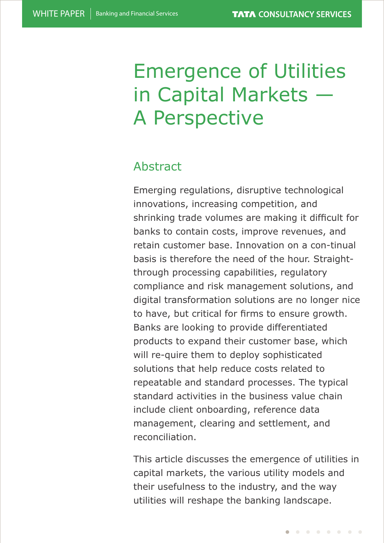# Emergence of Utilities in Capital Markets — A Perspective

# Abstract

Emerging regulations, disruptive technological innovations, increasing competition, and shrinking trade volumes are making it difficult for banks to contain costs, improve revenues, and retain customer base. Innovation on a con-tinual basis is therefore the need of the hour. Straightthrough processing capabilities, regulatory compliance and risk management solutions, and digital transformation solutions are no longer nice to have, but critical for firms to ensure growth. Banks are looking to provide differentiated products to expand their customer base, which will re-quire them to deploy sophisticated solutions that help reduce costs related to repeatable and standard processes. The typical standard activities in the business value chain include client onboarding, reference data management, clearing and settlement, and reconciliation.

This article discusses the emergence of utilities in capital markets, the various utility models and their usefulness to the industry, and the way utilities will reshape the banking landscape.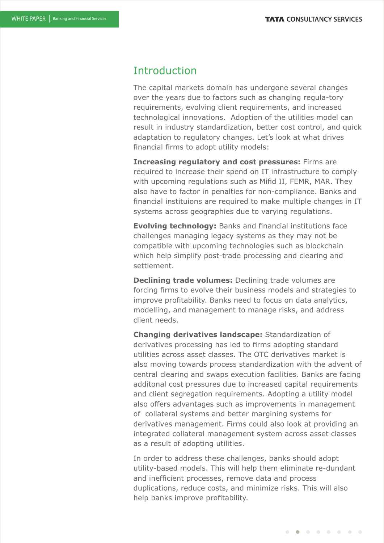## Introduction

The capital markets domain has undergone several changes over the years due to factors such as changing regula-tory requirements, evolving client requirements, and increased technological innovations. Adoption of the utilities model can result in industry standardization, better cost control, and quick adaptation to regulatory changes. Let's look at what drives financial firms to adopt utility models:

**Increasing regulatory and cost pressures:** Firms are required to increase their spend on IT infrastructure to comply with upcoming regulations such as Mifid II, FEMR, MAR. They also have to factor in penalties for non-compliance. Banks and financial instituions are required to make multiple changes in IT systems across geographies due to varying regulations.

**Evolving technology:** Banks and financial institutions face challenges managing legacy systems as they may not be compatible with upcoming technologies such as blockchain which help simplify post-trade processing and clearing and settlement.

**Declining trade volumes:** Declining trade volumes are forcing firms to evolve their business models and strategies to improve profitability. Banks need to focus on data analytics, modelling, and management to manage risks, and address client needs.

**Changing derivatives landscape:** Standardization of derivatives processing has led to firms adopting standard utilities across asset classes. The OTC derivatives market is also moving towards process standardization with the advent of central clearing and swaps execution facilities. Banks are facing additonal cost pressures due to increased capital requirements and client segregation requirements. Adopting a utility model also offers advantages such as improvements in management of collateral systems and better margining systems for derivatives management. Firms could also look at providing an integrated collateral management system across asset classes as a result of adopting utilities.

In order to address these challenges, banks should adopt utility-based models. This will help them eliminate re-dundant and inefficient processes, remove data and process duplications, reduce costs, and minimize risks. This will also help banks improve profitability.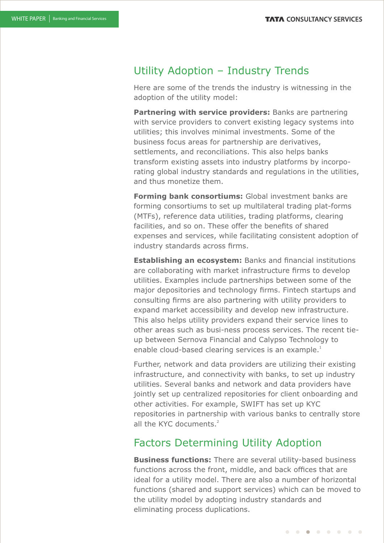## Utility Adoption – Industry Trends

Here are some of the trends the industry is witnessing in the adoption of the utility model:

**Partnering with service providers:** Banks are partnering with service providers to convert existing legacy systems into utilities; this involves minimal investments. Some of the business focus areas for partnership are derivatives, settlements, and reconciliations. This also helps banks transform existing assets into industry platforms by incorporating global industry standards and regulations in the utilities, and thus monetize them.

**Forming bank consortiums:** Global investment banks are forming consortiums to set up multilateral trading plat-forms (MTFs), reference data utilities, trading platforms, clearing facilities, and so on. These offer the benefits of shared expenses and services, while facilitating consistent adoption of industry standards across firms.

**Establishing an ecosystem:** Banks and financial institutions are collaborating with market infrastructure firms to develop utilities. Examples include partnerships between some of the major depositories and technology firms. Fintech startups and consulting firms are also partnering with utility providers to expand market accessibility and develop new infrastructure. This also helps utility providers expand their service lines to other areas such as busi-ness process services. The recent tieup between Sernova Financial and Calypso Technology to enable cloud-based clearing services is an example.<sup>1</sup>

Further, network and data providers are utilizing their existing infrastructure, and connectivity with banks, to set up industry utilities. Several banks and network and data providers have jointly set up centralized repositories for client onboarding and other activities. For example, SWIFT has set up KYC repositories in partnership with various banks to centrally store all the KYC documents.<sup>2</sup>

## Factors Determining Utility Adoption

**Business functions:** There are several utility-based business functions across the front, middle, and back offices that are ideal for a utility model. There are also a number of horizontal functions (shared and support services) which can be moved to the utility model by adopting industry standards and eliminating process duplications.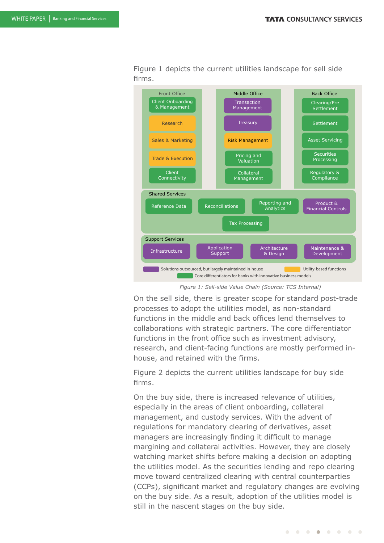Front Office **Middle Office** Back Office Client Onboarding & Management Research Sales & Marketing Trade & Execution Client Connectivity Transaction Management Treasury Risk Management Pricing and Valuation Collateral Management Clearing/Pre Settlement Settlement Asset Servicing Securities Processing Regulatory & **Compliance** Shared Services Support Services Reference Data Reconciliations Reporting and **Analytics** Product & Financial Controls Tax Processing Infrastructure **Application**<br> **Cuppert** Support Architecture & Design Maintenance & **Development** Solutions outsourced, but largely maintained in-house **Utility-based functions** Core differentiators for banks with innovative business models

Figure 1 depicts the current utilities landscape for sell side firms.

*Figure 1: Sell-side Value Chain (Source: TCS Internal)*

On the sell side, there is greater scope for standard post-trade processes to adopt the utilities model, as non-standard functions in the middle and back offices lend themselves to collaborations with strategic partners. The core differentiator functions in the front office such as investment advisory, research, and client-facing functions are mostly performed inhouse, and retained with the firms.

Figure 2 depicts the current utilities landscape for buy side firms.

On the buy side, there is increased relevance of utilities, especially in the areas of client onboarding, collateral management, and custody services. With the advent of regulations for mandatory clearing of derivatives, asset managers are increasingly finding it difficult to manage margining and collateral activities. However, they are closely watching market shifts before making a decision on adopting the utilities model. As the securities lending and repo clearing move toward centralized clearing with central counterparties (CCPs), significant market and regulatory changes are evolving on the buy side. As a result, adoption of the utilities model is still in the nascent stages on the buy side.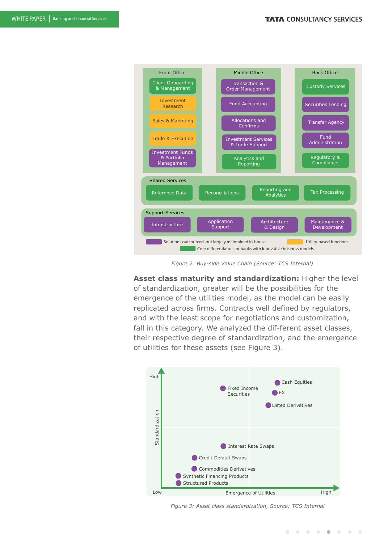

 *Figure 2: Buy-side Value Chain (Source: TCS Internal)*

**Asset class maturity and standardization:** Higher the level of standardization, greater will be the possibilities for the emergence of the utilities model, as the model can be easily replicated across firms. Contracts well defined by regulators, and with the least scope for negotiations and customization, fall in this category. We analyzed the dif-ferent asset classes, their respective degree of standardization, and the emergence of utilities for these assets (see Figure 3).



*Figure 3: Asset class standardization, Source: TCS Internal*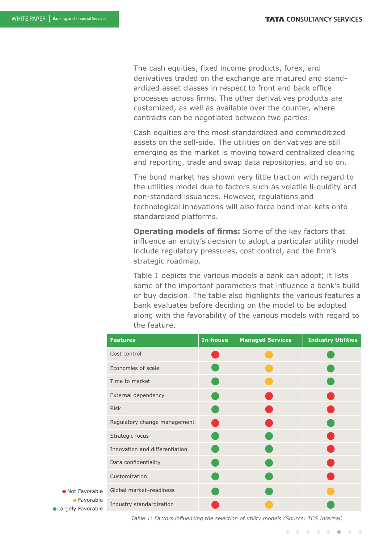The cash equities, fixed income products, forex, and derivatives traded on the exchange are matured and standardized asset classes in respect to front and back office processes across firms. The other derivatives products are customized, as well as available over the counter, where contracts can be negotiated between two parties.

Cash equities are the most standardized and commoditized assets on the sell-side. The utilities on derivatives are still emerging as the market is moving toward centralized clearing and reporting, trade and swap data repositories, and so on.

The bond market has shown very little traction with regard to the utilities model due to factors such as volatile li-quidity and non-standard issuances. However, regulations and technological innovations will also force bond mar-kets onto standardized platforms.

**Operating models of firms:** Some of the key factors that influence an entity's decision to adopt a particular utility model include regulatory pressures, cost control, and the firm's strategic roadmap.

Table 1 depicts the various models a bank can adopt; it lists some of the important parameters that influence a bank's build or buy decision. The table also highlights the various features a bank evaluates before deciding on the model to be adopted along with the favorability of the various models with regard to the feature.

| <b>Features</b>                | <b>In-house</b> | <b>Managed Services</b> | <b>Industry Utilities</b> |
|--------------------------------|-----------------|-------------------------|---------------------------|
| Cost control                   |                 |                         |                           |
| Economies of scale             |                 |                         |                           |
| Time to market                 |                 |                         |                           |
| External dependency            |                 |                         |                           |
| <b>Risk</b>                    |                 |                         |                           |
| Regulatory change management   |                 |                         |                           |
| Strategic focus                |                 |                         |                           |
| Innovation and differentiation |                 |                         |                           |
| Data confidentiality           |                 |                         |                           |
| Customization                  |                 |                         |                           |
| Global market-readiness        |                 |                         |                           |
| Industry standardization       |                 |                         |                           |

**Not Favorable C**Favorable **Cangely Favorable** 

*Table 1: Factors influencing the selection of utility models (Source: TCS Internal)* 

. . . . . . . .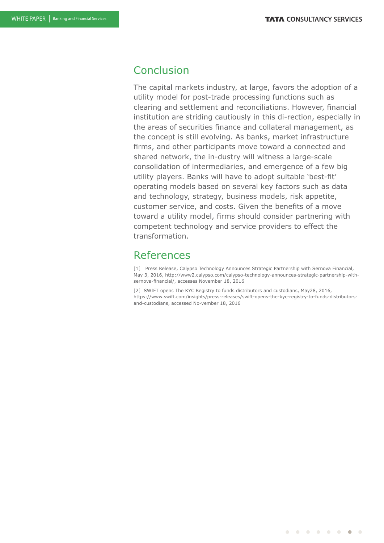## Conclusion

The capital markets industry, at large, favors the adoption of a utility model for post-trade processing functions such as clearing and settlement and reconciliations. However, financial institution are striding cautiously in this di-rection, especially in the areas of securities finance and collateral management, as the concept is still evolving. As banks, market infrastructure firms, and other participants move toward a connected and shared network, the in-dustry will witness a large-scale consolidation of intermediaries, and emergence of a few big utility players. Banks will have to adopt suitable 'best-fit' operating models based on several key factors such as data and technology, strategy, business models, risk appetite, customer service, and costs. Given the benefits of a move toward a utility model, firms should consider partnering with competent technology and service providers to effect the transformation.

## References

[1] Press Release, Calypso Technology Announces Strategic Partnership with Sernova Financial, May 3, 2016, http://www2.calypso.com/calypso-technology-announces-strategic-partnership-withsernova-financial/, accesses November 18, 2016

[2] SWIFT opens The KYC Registry to funds distributors and custodians, May28, 2016, https://www.swift.com/insights/press-releases/swift-opens-the-kyc-registry-to-funds-distributorsand-custodians, accessed No-vember 18, 2016